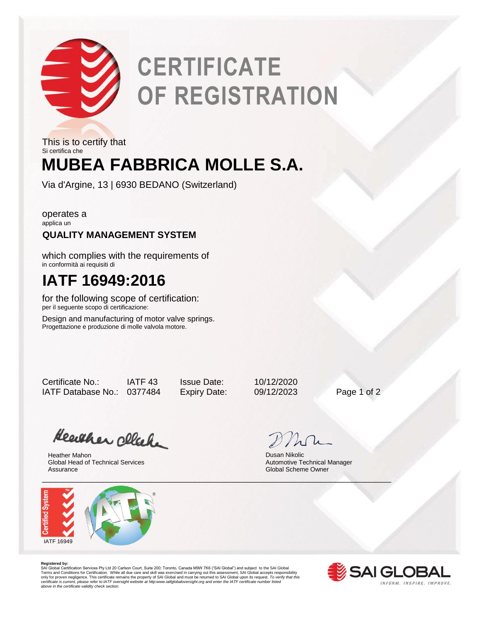

# **CERTIFICATE OF REGISTRATION**

**MUBEA FABBRICA MOLLE S.A.** This is to certify that Si certifica che

Via d'Argine, 13 | 6930 BEDANO (Switzerland)

operates a applica un

### **QUALITY MANAGEMENT SYSTEM**

which complies with the requirements of in conformità ai requisiti di

## **IATF 16949:2016**

for the following scope of certification: per il seguente scopo di certificazione:

Design and manufacturing of motor valve springs. Progettazione e produzione di molle valvola motore.

Certificate No.: IATF 43 Issue Date: 10/12/2020 IATF Database No.: 0377484 Expiry Date: 09/12/2023 Page 1 of 2

Heather click

Heather Mahon Global Head of Technical Services Assurance



Dusan Nikolic Automotive Technical Manager Global Scheme Owner

**Registered by:**<br>SAI Global Certification Services Pty Ltd 20 Carlson Court, Suite 200; Toronto, Canada M9W 7K6 ("SAI Global") and subject to the SAI Global<br>Terms and Conditions for Certification. While all due care and sk



*certificate is current, please refer to IATF oversight website at http:www.iatfglobaloversight.org and enter the IATF certificate number listed above in the certificate validity check section.*